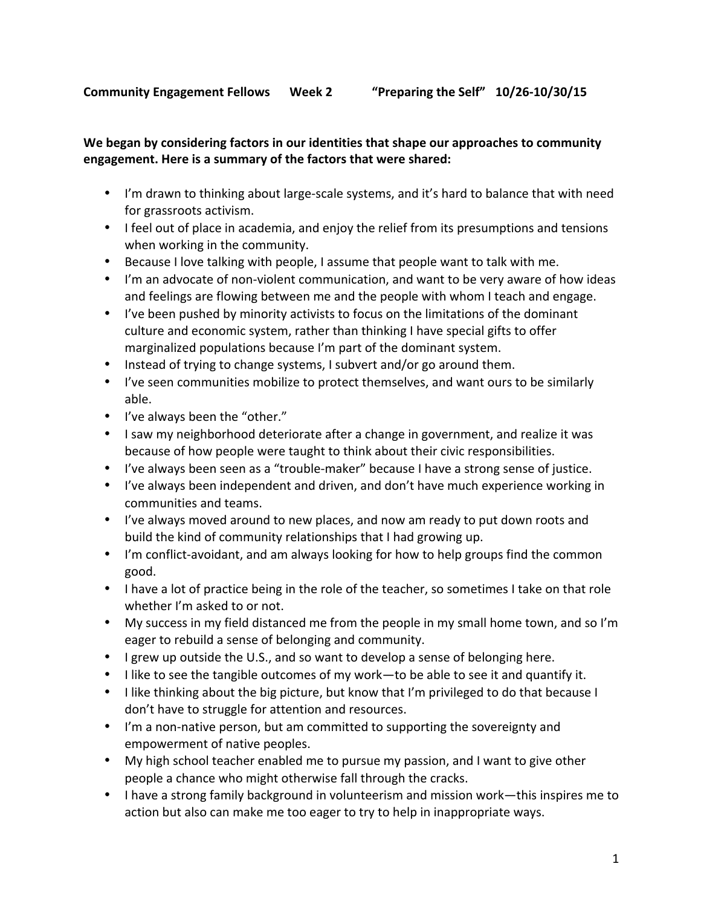## We began by considering factors in our identities that shape our approaches to community engagement. Here is a summary of the factors that were shared:

- I'm drawn to thinking about large-scale systems, and it's hard to balance that with need for grassroots activism.
- I feel out of place in academia, and enjoy the relief from its presumptions and tensions when working in the community.
- Because I love talking with people, I assume that people want to talk with me.
- I'm an advocate of non-violent communication, and want to be very aware of how ideas and feelings are flowing between me and the people with whom I teach and engage.
- I've been pushed by minority activists to focus on the limitations of the dominant culture and economic system, rather than thinking I have special gifts to offer marginalized populations because I'm part of the dominant system.
- Instead of trying to change systems, I subvert and/or go around them.
- I've seen communities mobilize to protect themselves, and want ours to be similarly able.
- I've always been the "other."
- I saw my neighborhood deteriorate after a change in government, and realize it was because of how people were taught to think about their civic responsibilities.
- I've always been seen as a "trouble-maker" because I have a strong sense of justice.
- I've always been independent and driven, and don't have much experience working in communities and teams.
- I've always moved around to new places, and now am ready to put down roots and build the kind of community relationships that I had growing up.
- I'm conflict-avoidant, and am always looking for how to help groups find the common good.
- I have a lot of practice being in the role of the teacher, so sometimes I take on that role whether I'm asked to or not.
- My success in my field distanced me from the people in my small home town, and so I'm eager to rebuild a sense of belonging and community.
- I grew up outside the U.S., and so want to develop a sense of belonging here.
- I like to see the tangible outcomes of my work—to be able to see it and quantify it.
- I like thinking about the big picture, but know that I'm privileged to do that because I don't have to struggle for attention and resources.
- I'm a non-native person, but am committed to supporting the sovereignty and empowerment of native peoples.
- My high school teacher enabled me to pursue my passion, and I want to give other people a chance who might otherwise fall through the cracks.
- I have a strong family background in volunteerism and mission work—this inspires me to action but also can make me too eager to try to help in inappropriate ways.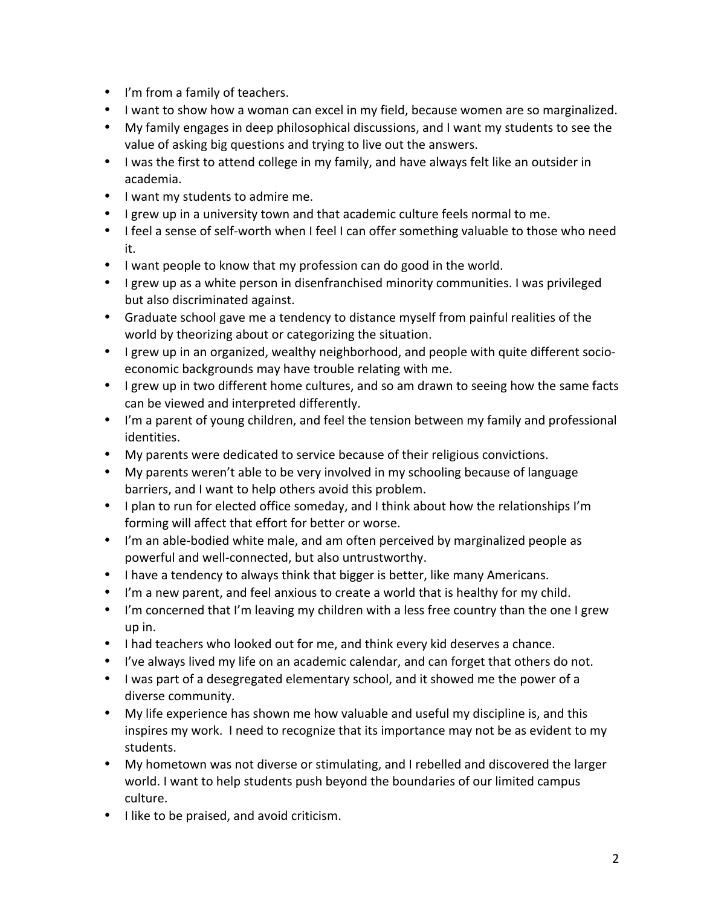- I'm from a family of teachers.
- I want to show how a woman can excel in my field, because women are so marginalized.
- My family engages in deep philosophical discussions, and I want my students to see the value of asking big questions and trying to live out the answers.
- I was the first to attend college in my family, and have always felt like an outsider in academia.
- I want my students to admire me.
- I grew up in a university town and that academic culture feels normal to me.
- I feel a sense of self-worth when I feel I can offer something valuable to those who need it.
- I want people to know that my profession can do good in the world.
- I grew up as a white person in disenfranchised minority communities. I was privileged but also discriminated against.
- Graduate school gave me a tendency to distance myself from painful realities of the world by theorizing about or categorizing the situation.
- I grew up in an organized, wealthy neighborhood, and people with quite different socioeconomic backgrounds may have trouble relating with me.
- I grew up in two different home cultures, and so am drawn to seeing how the same facts can be viewed and interpreted differently.
- I'm a parent of young children, and feel the tension between my family and professional identities.
- My parents were dedicated to service because of their religious convictions.
- My parents weren't able to be very involved in my schooling because of language barriers, and I want to help others avoid this problem.
- I plan to run for elected office someday, and I think about how the relationships I'm forming will affect that effort for better or worse.
- I'm an able-bodied white male, and am often perceived by marginalized people as powerful and well-connected, but also untrustworthy.
- I have a tendency to always think that bigger is better, like many Americans.
- I'm a new parent, and feel anxious to create a world that is healthy for my child.
- I'm concerned that I'm leaving my children with a less free country than the one I grew up in.
- I had teachers who looked out for me, and think every kid deserves a chance.
- I've always lived my life on an academic calendar, and can forget that others do not.
- I was part of a desegregated elementary school, and it showed me the power of a diverse community.
- My life experience has shown me how valuable and useful my discipline is, and this inspires my work. I need to recognize that its importance may not be as evident to my students.
- My hometown was not diverse or stimulating, and I rebelled and discovered the larger world. I want to help students push beyond the boundaries of our limited campus culture.
- I like to be praised, and avoid criticism.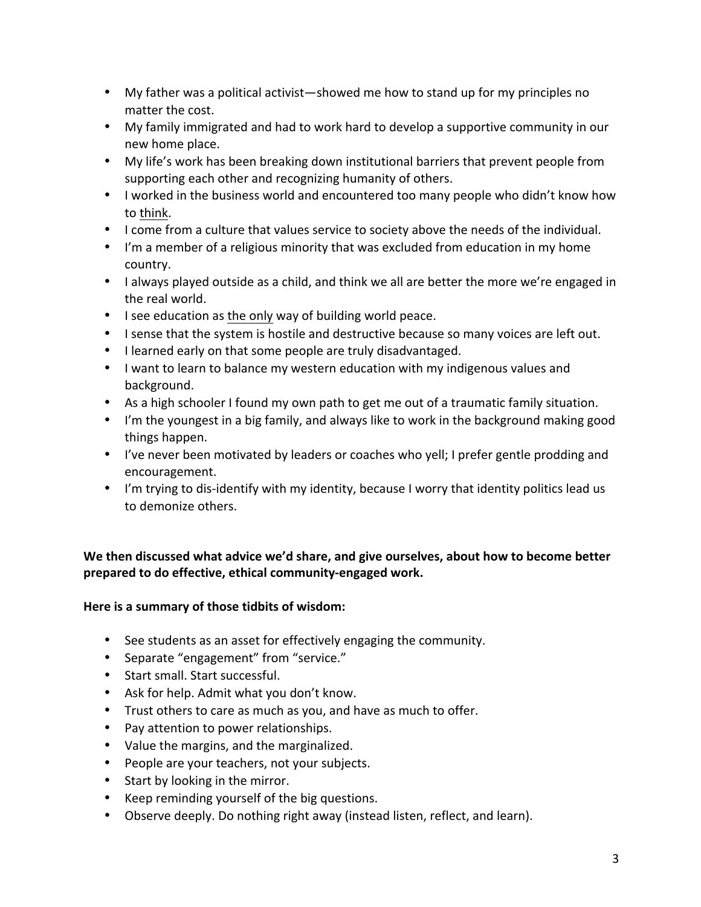- My father was a political activist—showed me how to stand up for my principles no matter the cost.
- My family immigrated and had to work hard to develop a supportive community in our new home place.
- My life's work has been breaking down institutional barriers that prevent people from supporting each other and recognizing humanity of others.
- I worked in the business world and encountered too many people who didn't know how to think.
- I come from a culture that values service to society above the needs of the individual.
- I'm a member of a religious minority that was excluded from education in my home country.
- I always played outside as a child, and think we all are better the more we're engaged in the real world.
- I see education as the only way of building world peace.
- I sense that the system is hostile and destructive because so many voices are left out.
- I learned early on that some people are truly disadvantaged.
- I want to learn to balance my western education with my indigenous values and background.
- As a high schooler I found my own path to get me out of a traumatic family situation.
- I'm the youngest in a big family, and always like to work in the background making good things happen.
- I've never been motivated by leaders or coaches who yell; I prefer gentle prodding and encouragement.
- I'm trying to dis-identify with my identity, because I worry that identity politics lead us to demonize others.

## We then discussed what advice we'd share, and give ourselves, about how to become better prepared to do effective, ethical community-engaged work.

## Here is a summary of those tidbits of wisdom:

- See students as an asset for effectively engaging the community.
- Separate "engagement" from "service."
- Start small. Start successful.
- Ask for help. Admit what you don't know.
- Trust others to care as much as you, and have as much to offer.
- Pay attention to power relationships.
- Value the margins, and the marginalized.
- People are your teachers, not your subjects.
- Start by looking in the mirror.
- Keep reminding yourself of the big questions.
- Observe deeply. Do nothing right away (instead listen, reflect, and learn).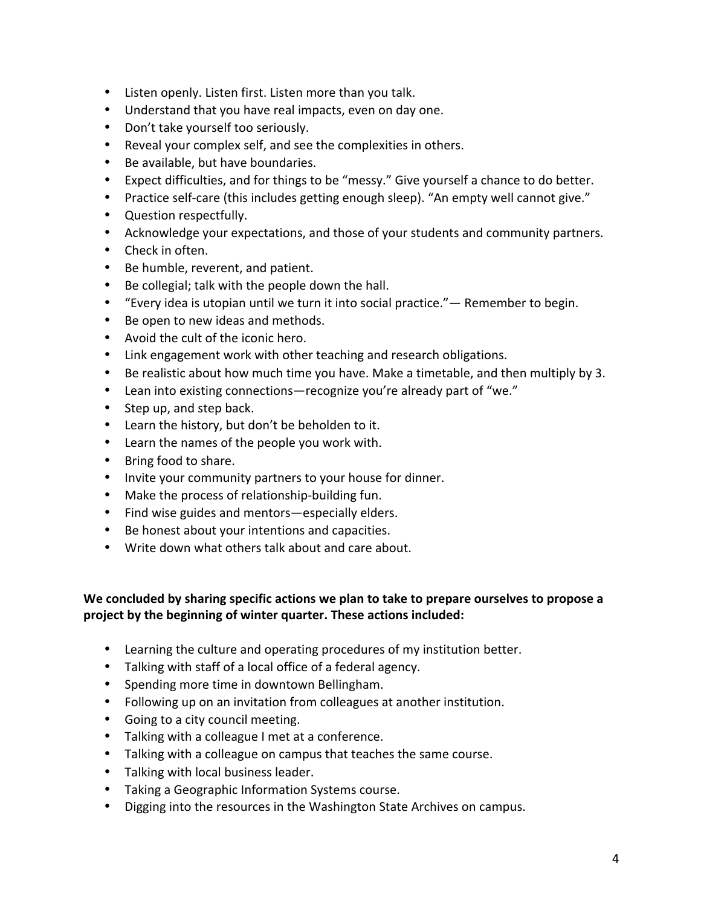- Listen openly. Listen first. Listen more than you talk.
- Understand that you have real impacts, even on day one.
- Don't take yourself too seriously.
- Reveal your complex self, and see the complexities in others.
- Be available, but have boundaries.
- Expect difficulties, and for things to be "messy." Give yourself a chance to do better.
- Practice self-care (this includes getting enough sleep). "An empty well cannot give."
- Question respectfully.
- Acknowledge your expectations, and those of your students and community partners.
- Check in often.
- Be humble, reverent, and patient.
- Be collegial; talk with the people down the hall.
- "Every idea is utopian until we turn it into social practice."— Remember to begin.
- Be open to new ideas and methods.
- Avoid the cult of the iconic hero.
- Link engagement work with other teaching and research obligations.
- Be realistic about how much time you have. Make a timetable, and then multiply by 3.
- Lean into existing connections—recognize you're already part of "we."
- Step up, and step back.
- Learn the history, but don't be beholden to it.
- Learn the names of the people you work with.
- Bring food to share.
- Invite your community partners to your house for dinner.
- Make the process of relationship-building fun.
- Find wise guides and mentors—especially elders.
- Be honest about your intentions and capacities.
- Write down what others talk about and care about.

## We concluded by sharing specific actions we plan to take to prepare ourselves to propose a project by the beginning of winter quarter. These actions included:

- Learning the culture and operating procedures of my institution better.
- Talking with staff of a local office of a federal agency.
- Spending more time in downtown Bellingham.
- Following up on an invitation from colleagues at another institution.
- Going to a city council meeting.
- Talking with a colleague I met at a conference.
- Talking with a colleague on campus that teaches the same course.
- Talking with local business leader.
- Taking a Geographic Information Systems course.
- Digging into the resources in the Washington State Archives on campus.